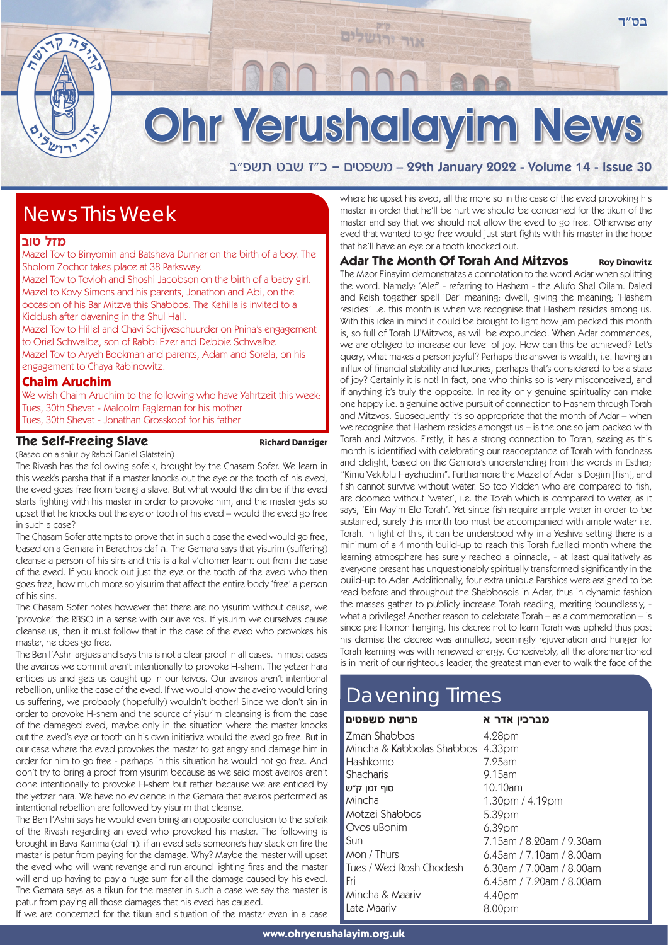# Ohr Yerushalayim News

אור יר

a"tyz hay f"k - mihtyn – 29th January 2022 - Volume 14 - Issue 30

# News This Week

### **מזל טוב**

Mazel Tov to Binyomin and Batsheva Dunner on the birth of a boy. The Sholom Zochor takes place at 38 Parksway.

Mazel Tov to Tovioh and Shoshi Jacobson on the birth of a baby girl. Mazel to Kovy Simons and his parents, Jonathon and Abi, on the occasion of his Bar Mitzva this Shabbos. The Kehilla is invited to a Kiddush after davening in the Shul Hall.

Mazel Tov to Hillel and Chavi Schijveschuurder on Pnina's engagement to Oriel Schwalbe, son of Rabbi Ezer and Debbie Schwalbe Mazel Tov to Aryeh Bookman and parents, Adam and Sorela, on his engagement to Chaya Rabinowitz.

#### **Chaim Aruchim**

We wish Chaim Aruchim to the following who have Yahrtzeit this week: Tues, 30th Shevat - Malcolm Fagleman for his mother Tues, 30th Shevat - Jonathan Grosskopf for his father

#### **The Self-Freeing Slave** Richard Danziger

(Based on a shiur by Rabbi Daniel Glatstein) The Rivash has the following sofeik, brought by the Chasam Sofer. We learn in this week's parsha that if a master knocks out the eye or the tooth of his eved, the eved goes free from being a slave. But what would the din be if the eved starts fighting with his master in order to provoke him, and the master gets so upset that he knocks out the eye or tooth of his eved – would the eved go free in such a case?

The Chasam Sofer attempts to prove that in such a case the eved would go free, based on a Gemara in Berachos daf **n**. The Gemara says that yisurim (suffering) cleanse a person of his sins and this is a kal v'chomer learnt out from the case of the eved. If you knock out just the eye or the tooth of the eved who then goes free, how much more so yisurim that affect the entire body 'free' a person of his sins.

The Chasam Sofer notes however that there are no yisurim without cause, we 'provoke' the RBSO in a sense with our aveiros. If yisurim we ourselves cause cleanse us, then it must follow that in the case of the eved who provokes his master, he does go free.

The Ben l'Ashri argues and says this is not a clear proof in all cases. In most cases the aveiros we commit aren't intentionally to provoke H-shem. The yetzer hara entices us and gets us caught up in our teivos. Our aveiros aren't intentional rebellion, unlike the case of the eved. If we would know the aveiro would bring us suffering, we probably (hopefully) wouldn't bother! Since we don't sin in order to provoke H-shem and the source of yisurim cleansing is from the case of the damaged eved, maybe only in the situation where the master knocks out the eved's eye or tooth on his own initiative would the eved go free. But in our case where the eved provokes the master to get angry and damage him in order for him to go free - perhaps in this situation he would not go free. And don't try to bring a proof from yisurim because as we said most aveiros aren't done intentionally to provoke H-shem but rather because we are enticed by the yetzer hara. We have no evidence in the Gemara that aveiros performed as intentional rebellion are followed by yisurim that cleanse.

The Ben l'Ashri says he would even bring an opposite conclusion to the sofeik of the Rivash regarding an eved who provoked his master. The following is brought in Bava Kamma (daf  $\tau$ ): if an eved sets someone's hay stack on fire the master is patur from paying for the damage. Why? Maybe the master will upset the eved who will want revenge and run around lighting fires and the master will end up having to pay a huge sum for all the damage caused by his eved. The Gemara says as a tikun for the master in such a case we say the master is patur from paying all those damages that his eved has caused.

If we are concerned for the tikun and situation of the master even in a case

where he upset his eved, all the more so in the case of the eved provoking his master in order that he'll be hurt we should be concerned for the tikun of the master and say that we should not allow the eved to go free. Otherwise any eved that wanted to go free would just start fights with his master in the hope that he'll have an eye or a tooth knocked out.

## **Adar The Month Of Torah And Mitzvos Roy Dinowitz**

The Meor Einayim demonstrates a connotation to the word Adar when splitting the word. Namely: 'Alef' - referring to Hashem - the Alufo Shel Oilam. Daled and Reish together spell 'Dar' meaning; dwell, giving the meaning; 'Hashem resides' i.e. this month is when we recognise that Hashem resides among us. With this idea in mind it could be brought to light how jam packed this month is, so full of Torah U'Mitzvos, as will be expounded. When Adar commences, we are obliged to increase our level of joy. How can this be achieved? Let's query, what makes a person joyful? Perhaps the answer is wealth, i.e. having an influx of financial stability and luxuries, perhaps that's considered to be a state of joy? Certainly it is not! In fact, one who thinks so is very misconceived, and if anything it's truly the opposite. In reality only genuine spirituality can make one happy i.e. a genuine active pursuit of connection to Hashem through Torah and Mitzvos. Subsequently it's so appropriate that the month of Adar – when we recognise that Hashem resides amongst us – is the one so jam packed with Torah and Mitzvos. Firstly, it has a strong connection to Torah, seeing as this month is identified with celebrating our reacceptance of Torah with fondness and delight, based on the Gemora's understanding from the words in Esther; ''Kimu Vekiblu Hayehudim''. Furthermore the Mazel of Adar is Dogim [fish], and fish cannot survive without water. So too Yidden who are compared to fish, are doomed without 'water', i.e. the Torah which is compared to water, as it says, 'Ein Mayim Elo Torah'. Yet since fish require ample water in order to be sustained, surely this month too must be accompanied with ample water i.e. Torah. In light of this, it can be understood why in a Yeshiva setting there is a minimum of a 4 month build-up to reach this Torah fuelled month where the learning atmosphere has surely reached a pinnacle, - at least qualitatively as everyone present has unquestionably spiritually transformed significantly in the build-up to Adar. Additionally, four extra unique Parshios were assigned to be read before and throughout the Shabbosois in Adar, thus in dynamic fashion the masses gather to publicly increase Torah reading, meriting boundlessly, what a privilege! Another reason to celebrate Torah – as a commemoration – is since pre Homon hanging, his decree not to learn Torah was upheld thus post his demise the decree was annulled, seemingly rejuvenation and hunger for Torah learning was with renewed energy. Conceivably, all the aforementioned is in merit of our righteous leader, the greatest man ever to walk the face of the

# Davening Times

#### פרשת משפטים Zman Shabbos Mincha & Kabbolas Shabbos 4.33pm Hashkomo **Shacharis** סוף זמו *ה"*ש Mincha Motzei Shabbos Ovos uBonim Sun Mon / Thurs Tues / Wed Rosh Chodesh Fri Mincha & Maariv Late Maariv **מברכיו אדר א** 4.28pm 7.25am 9.15am 10.10am 1.30pm / 4.19pm 5.39pm 6.39pm 7.15am / 8.20am / 9.30am 6.45am / 7.10am / 8.00am 6.30am / 7.00am / 8.00am 6.45am / 7.20am / 8.00am 4.40pm 8.00pm